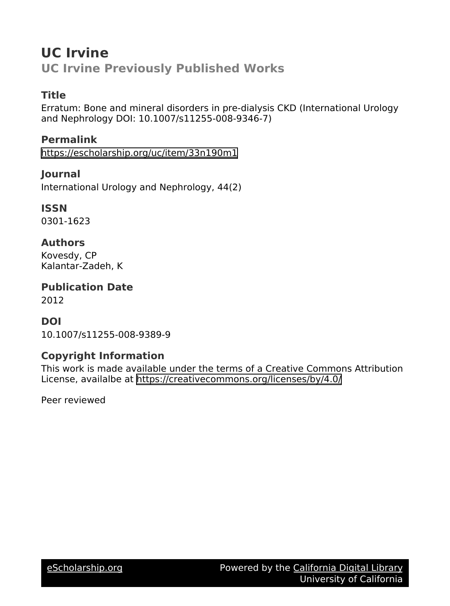# **UC Irvine UC Irvine Previously Published Works**

### **Title**

Erratum: Bone and mineral disorders in pre-dialysis CKD (International Urology and Nephrology DOI: 10.1007/s11255-008-9346-7)

#### **Permalink**

<https://escholarship.org/uc/item/33n190m1>

### **Journal**

International Urology and Nephrology, 44(2)

#### **ISSN**

0301-1623

#### **Authors**

Kovesdy, CP Kalantar-Zadeh, K

**Publication Date** 2012

#### **DOI**

10.1007/s11255-008-9389-9

### **Copyright Information**

This work is made available under the terms of a Creative Commons Attribution License, availalbe at <https://creativecommons.org/licenses/by/4.0/>

Peer reviewed